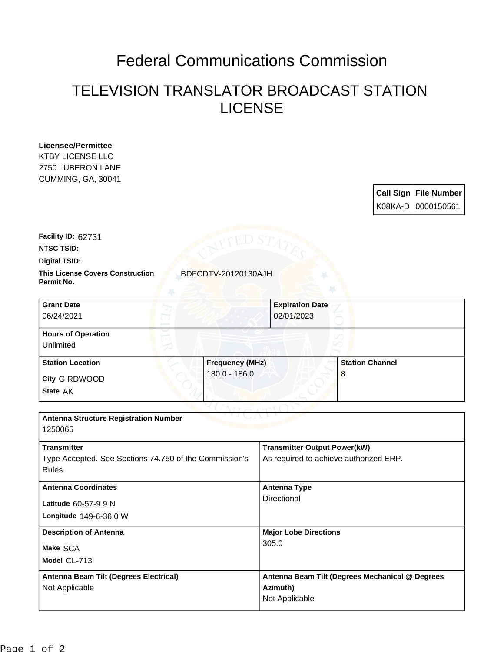## Federal Communications Commission

## TELEVISION TRANSLATOR BROADCAST STATION LICENSE

**Licensee/Permittee** KTBY LICENSE LLC 2750 LUBERON LANE CUMMING, GA, 30041

> **Call Sign File Number** K08KA-D 0000150561

**Facility ID:** 62731

**NTSC TSID:**

**Digital TSID:**

**This License Covers Construction BDFCDTV-20120130AJH Permit No.**

| <b>Grant Date</b><br>06/24/2021        | <b>Expiration Date</b><br>02/01/2023 |                        |
|----------------------------------------|--------------------------------------|------------------------|
| <b>Hours of Operation</b><br>Unlimited |                                      |                        |
| <b>Station Location</b>                | <b>Frequency (MHz)</b>               | <b>Station Channel</b> |
| City GIRDWOOD<br>State AK              | 180.0 - 186.0                        | 8                      |

| <b>Antenna Structure Registration Number</b><br>1250065 |                                                 |  |
|---------------------------------------------------------|-------------------------------------------------|--|
|                                                         |                                                 |  |
| <b>Transmitter</b>                                      | <b>Transmitter Output Power(kW)</b>             |  |
| Type Accepted. See Sections 74.750 of the Commission's  | As required to achieve authorized ERP.          |  |
| Rules.                                                  |                                                 |  |
| <b>Antenna Coordinates</b>                              | <b>Antenna Type</b><br>Directional              |  |
| Latitude 60-57-9.9 N                                    |                                                 |  |
| Longitude 149-6-36.0 W                                  |                                                 |  |
| <b>Description of Antenna</b>                           | <b>Major Lobe Directions</b>                    |  |
| Make SCA                                                | 305.0                                           |  |
| Model CL-713                                            |                                                 |  |
| Antenna Beam Tilt (Degrees Electrical)                  | Antenna Beam Tilt (Degrees Mechanical @ Degrees |  |
| Not Applicable                                          | Azimuth)                                        |  |
|                                                         | Not Applicable                                  |  |